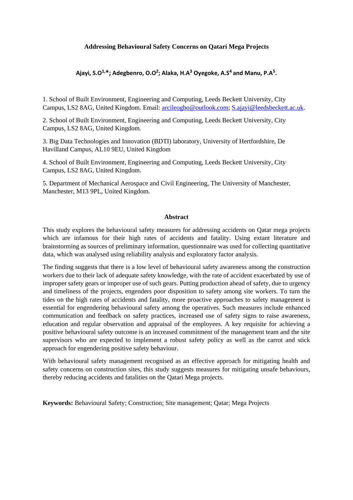# **Addressing Behavioural Safety Concerns on Qatari Mega Projects**

# **Ajayi, S.O1,\*; Adegbenro, O.O<sup>2</sup> ; Alaka, H.A<sup>3</sup> Oyegoke, A.S4 and Manu, P.A<sup>5</sup> .**

1. School of Built Environment, Engineering and Computing, Leeds Beckett University, City Campus, LS2 8AG, United Kingdom. Email: [arcileogbo@outlook.com;](mailto:arcileogbo@outlook.com) [S.ajayi@leedsbeckett.ac.uk.](mailto:S.ajayi@leedsbeckett.ac.uk)

2. School of Built Environment, Engineering and Computing, Leeds Beckett University, City Campus, LS2 8AG, United Kingdom.

3. Big Data Technologies and Innovation (BDTI) laboratory, University of Hertfordshire, De Havilland Campus, AL10 9EU, United Kingdom

4. School of Built Environment, Engineering and Computing, Leeds Beckett University, City Campus, LS2 8AG, United Kingdom.

5. Department of Mechanical Aerospace and Civil Engineering, The University of Manchester, Manchester, M13 9PL, United Kingdom.

## **Abstract**

This study explores the behavioural safety measures for addressing accidents on Qatar mega projects which are infamous for their high rates of accidents and fatality. Using extant literature and brainstorming as sources of preliminary information, questionnaire was used for collecting quantitative data, which was analysed using reliability analysis and exploratory factor analysis.

The finding suggests that there is a low level of behavioural safety awareness among the construction workers due to their lack of adequate safety knowledge, with the rate of accident exacerbated by use of improper safety gears or improper use of such gears. Putting production ahead of safety, due to urgency and timeliness of the projects, engenders poor disposition to safety among site workers. To turn the tides on the high rates of accidents and fatality, more proactive approaches to safety management is essential for engendering behavioural safety among the operatives. Such measures include enhanced communication and feedback on safety practices, increased use of safety signs to raise awareness, education and regular observation and appraisal of the employees. A key requisite for achieving a positive behavioural safety outcome is an increased commitment of the management team and the site supervisors who are expected to implement a robust safety policy as well as the carrot and stick approach for engendering positive safety behaviour.

With behavioural safety management recognised as an effective approach for mitigating health and safety concerns on construction sites, this study suggests measures for mitigating unsafe behaviours, thereby reducing accidents and fatalities on the Qatari Mega projects.

**Keywords:** Behavioural Safety; Construction; Site management; Qatar; Mega Projects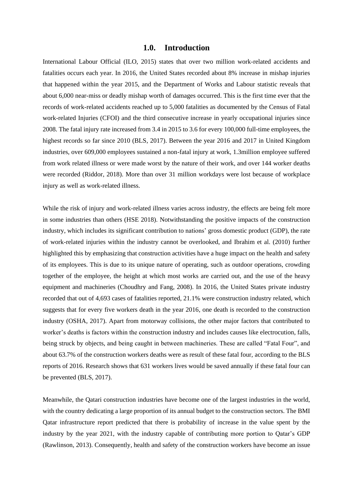# **1.0. Introduction**

International Labour Official (ILO, 2015) states that over two million work-related accidents and fatalities occurs each year. In 2016, the United States recorded about 8% increase in mishap injuries that happened within the year 2015, and the Department of Works and Labour statistic reveals that about 6,000 near-miss or deadly mishap worth of damages occurred. This is the first time ever that the records of work-related accidents reached up to 5,000 fatalities as documented by the Census of Fatal work-related Injuries (CFOI) and the third consecutive increase in yearly occupational injuries since 2008. The fatal injury rate increased from 3.4 in 2015 to 3.6 for every 100,000 full-time employees, the highest records so far since 2010 (BLS, 2017). Between the year 2016 and 2017 in United Kingdom industries, over 609,000 employees sustained a non-fatal injury at work, 1.3million employee suffered from work related illness or were made worst by the nature of their work, and over 144 worker deaths were recorded (Riddor, 2018). More than over 31 million workdays were lost because of workplace injury as well as work-related illness.

While the risk of injury and work-related illness varies across industry, the effects are being felt more in some industries than others (HSE 2018). Notwithstanding the positive impacts of the construction industry, which includes its significant contribution to nations' gross domestic product (GDP), the rate of work-related injuries within the industry cannot be overlooked, and Ibrahim et al. (2010) further highlighted this by emphasizing that construction activities have a huge impact on the health and safety of its employees. This is due to its unique nature of operating, such as outdoor operations, crowding together of the employee, the height at which most works are carried out, and the use of the heavy equipment and machineries (Choudhry and Fang, 2008). In 2016, the United States private industry recorded that out of 4,693 cases of fatalities reported, 21.1% were construction industry related, which suggests that for every five workers death in the year 2016, one death is recorded to the construction industry (OSHA, 2017). Apart from motorway collisions, the other major factors that contributed to worker's deaths is factors within the construction industry and includes causes like electrocution, falls, being struck by objects, and being caught in between machineries. These are called "Fatal Four", and about 63.7% of the construction workers deaths were as result of these fatal four, according to the BLS reports of 2016. Research shows that 631 workers lives would be saved annually if these fatal four can be prevented (BLS, 2017).

Meanwhile, the Qatari construction industries have become one of the largest industries in the world, with the country dedicating a large proportion of its annual budget to the construction sectors. The BMI Qatar infrastructure report predicted that there is probability of increase in the value spent by the industry by the year 2021, with the industry capable of contributing more portion to Qatar's GDP (Rawlinson, 2013). Consequently, health and safety of the construction workers have become an issue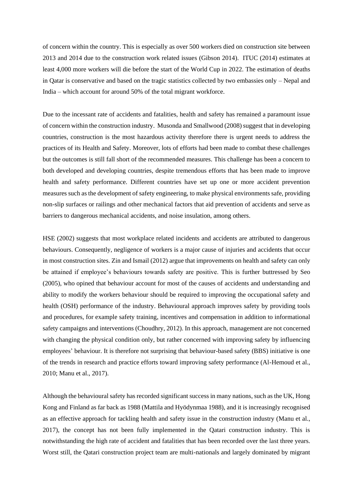of concern within the country. This is especially as over 500 workers died on construction site between 2013 and 2014 due to the construction work related issues (Gibson 2014). ITUC (2014) estimates at least 4,000 more workers will die before the start of the World Cup in 2022. The estimation of deaths in Qatar is conservative and based on the tragic statistics collected by two embassies only – Nepal and India – which account for around 50% of the total migrant workforce.

Due to the incessant rate of accidents and fatalities, health and safety has remained a paramount issue of concern within the construction industry. Musonda and Smallwood (2008) suggest that in developing countries, construction is the most hazardous activity therefore there is urgent needs to address the practices of its Health and Safety. Moreover, lots of efforts had been made to combat these challenges but the outcomes is still fall short of the recommended measures. This challenge has been a concern to both developed and developing countries, despite tremendous efforts that has been made to improve health and safety performance. Different countries have set up one or more accident prevention measures such as the development of safety engineering, to make physical environments safe, providing non-slip surfaces or railings and other mechanical factors that aid prevention of accidents and serve as barriers to dangerous mechanical accidents, and noise insulation, among others.

HSE (2002) suggests that most workplace related incidents and accidents are attributed to dangerous behaviours. Consequently, negligence of workers is a major cause of injuries and accidents that occur in most construction sites. Zin and Ismail (2012) argue that improvements on health and safety can only be attained if employee's behaviours towards safety are positive. This is further buttressed by Seo (2005), who opined that behaviour account for most of the causes of accidents and understanding and ability to modify the workers behaviour should be required to improving the occupational safety and health (OSH) performance of the industry. Behavioural approach improves safety by providing tools and procedures, for example safety training, incentives and compensation in addition to informational safety campaigns and interventions (Choudhry, 2012). In this approach, management are not concerned with changing the physical condition only, but rather concerned with improving safety by influencing employees' behaviour. It is therefore not surprising that behaviour-based safety (BBS) initiative is one of the trends in research and practice efforts toward improving safety performance (Al-Hemoud et al., 2010; Manu et al., 2017).

Although the behavioural safety has recorded significant success in many nations, such as the UK, Hong Kong and Finland as far back as 1988 (Mattila and Hyödynmaa 1988), and it is increasingly recognised as an effective approach for tackling health and safety issue in the construction industry (Manu et al., 2017), the concept has not been fully implemented in the Qatari construction industry. This is notwithstanding the high rate of accident and fatalities that has been recorded over the last three years. Worst still, the Qatari construction project team are multi-nationals and largely dominated by migrant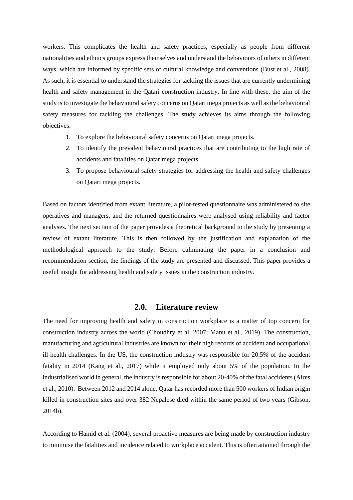workers. This complicates the health and safety practices, especially as people from different nationalities and ethnics groups express themselves and understand the behaviours of others in different ways, which are informed by specific sets of cultural knowledge and conventions (Bust et al., 2008). As such, it is essential to understand the strategies for tackling the issues that are currently undermining health and safety management in the Qatari construction industry. In line with these, the aim of the study is to investigate the behavioural safety concerns on Qatari mega projects as well as the behavioural safety measures for tackling the challenges. The study achieves its aims through the following objectives:

- 1. To explore the behavioural safety concerns on Qatari mega projects.
- 2. To identify the prevalent behavioural practices that are contributing to the high rate of accidents and fatalities on Qatar mega projects.
- 3. To propose behavioural safety strategies for addressing the health and safety challenges on Qatari mega projects.

Based on factors identified from extant literature, a pilot-tested questionnaire was administered to site operatives and managers, and the returned questionnaires were analysed using reliability and factor analyses. The next section of the paper provides a theoretical background to the study by presenting a review of extant literature. This is then followed by the justification and explanation of the methodological approach to the study. Before culminating the paper in a conclusion and recommendation section, the findings of the study are presented and discussed. This paper provides a useful insight for addressing health and safety issues in the construction industry.

# **2.0. Literature review**

The need for improving health and safety in construction workplace is a matter of top concern for construction industry across the world (Choudhry et al. 2007; Manu et al., 2019). The construction, manufacturing and agricultural industries are known for their high records of accident and occupational ill-health challenges. In the US, the construction industry was responsible for 20.5% of the accident fatality in 2014 (Kang et al., 2017) while it employed only about 5% of the population. In the industrialised world in general, the industry is responsible for about 20-40% of the fatal accidents (Aires et al., 2010). Between 2012 and 2014 alone, Qatar has recorded more than 500 workers of Indian origin killed in construction sites and over 382 Nepalese died within the same period of two years (Gibson, 2014b).

According to Hamid et al. (2004), several proactive measures are being made by construction industry to minimise the fatalities and incidence related to workplace accident. This is often attained through the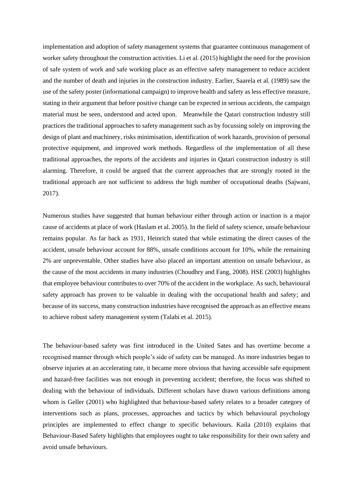implementation and adoption of safety management systems that guarantee continuous management of worker safety throughout the construction activities. Li et al. (2015) highlight the need for the provision of safe system of work and safe working place as an effective safety management to reduce accident and the number of death and injuries in the construction industry. Earlier, Saarela et al. (1989) saw the use of the safety poster (informational campaign) to improve health and safety as less effective measure, stating in their argument that before positive change can be expected in serious accidents, the campaign material must be seen, understood and acted upon. Meanwhile the Qatari construction industry still practices the traditional approaches to safety management such as by focussing solely on improving the design of plant and machinery, risks minimisation, identification of work hazards, provision of personal protective equipment, and improved work methods. Regardless of the implementation of all these traditional approaches, the reports of the accidents and injuries in Qatari construction industry is still alarming. Therefore, it could be argued that the current approaches that are strongly rooted in the traditional approach are not sufficient to address the high number of occupational deaths (Sajwani, 2017).

Numerous studies have suggested that human behaviour either through action or inaction is a major cause of accidents at place of work (Haslam et al. 2005). In the field of safety science, unsafe behaviour remains popular. As far back as 1931, Heinrich stated that while estimating the direct causes of the accident, unsafe behaviour account for 88%, unsafe conditions account for 10%, while the remaining 2% are unpreventable. Other studies have also placed an important attention on unsafe behaviour, as the cause of the most accidents in many industries (Choudhry and Fang, 2008). HSE (2003) highlights that employee behaviour contributes to over 70% of the accident in the workplace. As such, behavioural safety approach has proven to be valuable in dealing with the occupational health and safety; and because of its success, many construction industries have recognised the approach as an effective means to achieve robust safety management system (Talabi et al. 2015).

The behaviour-based safety was first introduced in the United Sates and has overtime become a recognised manner through which people's side of safety can be managed. As more industries began to observe injuries at an accelerating rate, it became more obvious that having accessible safe equipment and hazard-free facilities was not enough in preventing accident; therefore, the focus was shifted to dealing with the behaviour of individuals. Different scholars have drawn various definitions among whom is Geller (2001) who highlighted that behaviour-based safety relates to a broader category of interventions such as plans, processes, approaches and tactics by which behavioural psychology principles are implemented to effect change to specific behaviours. Kaila (2010) explains that Behaviour-Based Safety highlights that employees ought to take responsibility for their own safety and avoid unsafe behaviours.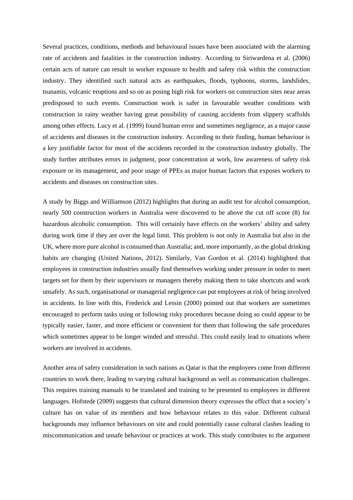Several practices, conditions, methods and behavioural issues have been associated with the alarming rate of accidents and fatalities in the construction industry. According to Siriwardena et al. (2006) certain acts of nature can result in worker exposure to health and safety risk within the construction industry. They identified such natural acts as earthquakes, floods, typhoons, storms, landslides, tsunamis, volcanic eruptions and so on as posing high risk for workers on construction sites near areas predisposed to such events. Construction work is safer in favourable weather conditions with construction in rainy weather having great possibility of causing accidents from slippery scaffolds among other effects. Lucy et al. (1999) found human error and sometimes negligence, as a major cause of accidents and diseases in the construction industry. According to their finding, human behaviour is a key justifiable factor for most of the accidents recorded in the construction industry globally. The study further attributes errors in judgment, poor concentration at work, low awareness of safety risk exposure or its management, and poor usage of PPEs as major human factors that exposes workers to accidents and diseases on construction sites.

A study by Biggs and Williamson (2012) highlights that during an audit test for alcohol consumption, nearly 500 construction workers in Australia were discovered to be above the cut off score (8) for hazardous alcoholic consumption. This will certainly have effects on the workers' ability and safety during work time if they are over the legal limit. This problem is not only in Australia but also in the UK, where more pure alcohol is consumed than Australia; and, more importantly, as the global drinking habits are changing (United Nations, 2012). Similarly, Van Gordon et al. (2014) highlighted that employees in construction industries usually find themselves working under pressure in order to meet targets set for them by their supervisors or managers thereby making them to take shortcuts and work unsafely. As such, organisational or managerial negligence can put employees at risk of being involved in accidents. In line with this, Frederick and Lessin (2000) pointed out that workers are sometimes encouraged to perform tasks using or following risky procedures because doing so could appear to be typically easier, faster, and more efficient or convenient for them than following the safe procedures which sometimes appear to be longer winded and stressful. This could easily lead to situations where workers are involved in accidents.

Another area of safety consideration in such nations as Qatar is that the employees come from different countries to work there, leading to varying cultural background as well as communication challenges. This requires training manuals to be translated and training to be presented to employees in different languages. Hofstede (2009) suggests that cultural dimension theory expresses the effect that a society's culture has on value of its members and how behaviour relates to this value. Different cultural backgrounds may influence behaviours on site and could potentially cause cultural clashes leading to miscommunication and unsafe behaviour or practices at work. This study contributes to the argument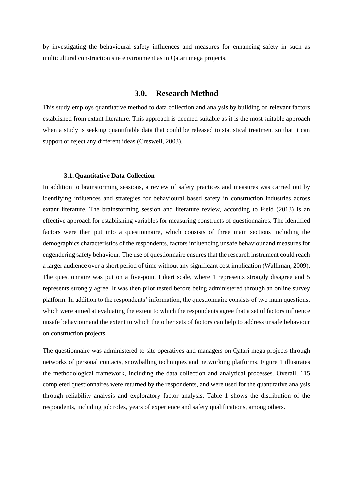by investigating the behavioural safety influences and measures for enhancing safety in such as multicultural construction site environment as in Qatari mega projects.

# **3.0. Research Method**

This study employs quantitative method to data collection and analysis by building on relevant factors established from extant literature. This approach is deemed suitable as it is the most suitable approach when a study is seeking quantifiable data that could be released to statistical treatment so that it can support or reject any different ideas (Creswell, 2003).

#### **3.1.Quantitative Data Collection**

In addition to brainstorming sessions, a review of safety practices and measures was carried out by identifying influences and strategies for behavioural based safety in construction industries across extant literature. The brainstorming session and literature review, according to Field (2013) is an effective approach for establishing variables for measuring constructs of questionnaires. The identified factors were then put into a questionnaire, which consists of three main sections including the demographics characteristics of the respondents, factors influencing unsafe behaviour and measures for engendering safety behaviour. The use of questionnaire ensures that the research instrument could reach a larger audience over a short period of time without any significant cost implication (Walliman, 2009). The questionnaire was put on a five-point Likert scale, where 1 represents strongly disagree and 5 represents strongly agree. It was then pilot tested before being administered through an online survey platform. In addition to the respondents' information, the questionnaire consists of two main questions, which were aimed at evaluating the extent to which the respondents agree that a set of factors influence unsafe behaviour and the extent to which the other sets of factors can help to address unsafe behaviour on construction projects.

The questionnaire was administered to site operatives and managers on Qatari mega projects through networks of personal contacts, snowballing techniques and networking platforms. Figure 1 illustrates the methodological framework, including the data collection and analytical processes. Overall, 115 completed questionnaires were returned by the respondents, and were used for the quantitative analysis through reliability analysis and exploratory factor analysis. Table 1 shows the distribution of the respondents, including job roles, years of experience and safety qualifications, among others.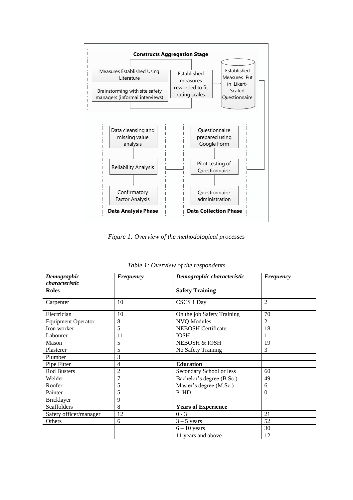

*Figure 1: Overview of the methodological processes*

| Demographic               | <b>Frequency</b> | Demographic characteristic | Frequency      |
|---------------------------|------------------|----------------------------|----------------|
| characteristic            |                  |                            |                |
| <b>Roles</b>              |                  | <b>Safety Training</b>     |                |
| Carpenter                 | 10               | CSCS 1 Day                 | $\overline{2}$ |
| Electrician               | 10               | On the job Safety Training | 70             |
| <b>Equipment Operator</b> | 8                | <b>NVQ Modules</b>         | $\mathfrak{D}$ |
| Iron worker               | 5                | <b>NEBOSH Certificate</b>  | 18             |
| Labourer                  | 11               | <b>IOSH</b>                |                |
| Mason                     | 5                | <b>NEBOSH &amp; IOSH</b>   | 19             |
| Plasterer                 | 5                | No Safety Training         | 3              |
| Plumber                   | 3                |                            |                |
| Pipe Fitter               | 4                | <b>Education</b>           |                |
| <b>Rod Busters</b>        | $\overline{c}$   | Secondary School or less   | 60             |
| Welder                    | 7                | Bachelor's degree (B.Sc.)  | 49             |
| Roofer                    | 5                | Master's degree (M.Sc.)    | 6              |
| Painter                   | 5                | P. HD                      | $\Omega$       |
| <b>Bricklayer</b>         | 9                |                            |                |
| <b>Scaffolders</b>        | 8                | <b>Years of Experience</b> |                |
| Safety officer/manager    | 12               | $0 - 3$                    | 21             |
| Others                    | 6                | $3 - 5$ years              | 52             |
|                           |                  | $6 - 10$ years             | 30             |
|                           |                  | 11 years and above         | 12             |

*Table 1: Overview of the respondents*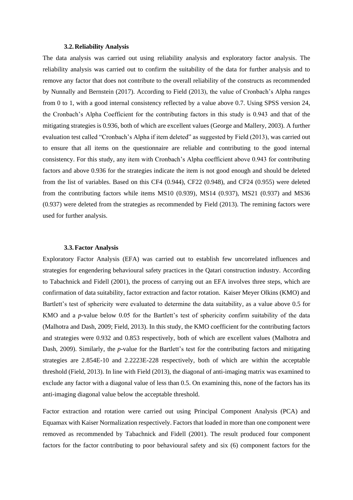#### **3.2.Reliability Analysis**

The data analysis was carried out using reliability analysis and exploratory factor analysis. The reliability analysis was carried out to confirm the suitability of the data for further analysis and to remove any factor that does not contribute to the overall reliability of the constructs as recommended by Nunnally and Bernstein (2017). According to Field (2013), the value of Cronbach's Alpha ranges from 0 to 1, with a good internal consistency reflected by a value above 0.7. Using SPSS version 24, the Cronbach's Alpha Coefficient for the contributing factors in this study is 0.943 and that of the mitigating strategies is 0.936, both of which are excellent values (George and Mallery, 2003). A further evaluation test called "Cronbach's Alpha if item deleted" as suggested by Field (2013), was carried out to ensure that all items on the questionnaire are reliable and contributing to the good internal consistency. For this study, any item with Cronbach's Alpha coefficient above 0.943 for contributing factors and above 0.936 for the strategies indicate the item is not good enough and should be deleted from the list of variables. Based on this CF4 (0.944), CF22 (0.948), and CF24 (0.955) were deleted from the contributing factors while items MS10 (0.939), MS14 (0.937), MS21 (0.937) and MS36 (0.937) were deleted from the strategies as recommended by Field (2013). The remining factors were used for further analysis.

#### **3.3.Factor Analysis**

Exploratory Factor Analysis (EFA) was carried out to establish few uncorrelated influences and strategies for engendering behavioural safety practices in the Qatari construction industry. According to Tabachnick and Fidell (2001), the process of carrying out an EFA involves three steps, which are confirmation of data suitability, factor extraction and factor rotation. Kaiser Meyer Olkins (KMO) and Bartlett's test of sphericity were evaluated to determine the data suitability, as a value above 0.5 for KMO and a *p*-value below 0.05 for the Bartlett's test of sphericity confirm suitability of the data (Malhotra and Dash, 2009; Field, 2013). In this study, the KMO coefficient for the contributing factors and strategies were 0.932 and 0.853 respectively, both of which are excellent values (Malhotra and Dash, 2009). Similarly, the *p*-value for the Bartlett's test for the contributing factors and mitigating strategies are 2.854E-10 and 2.2223E-228 respectively, both of which are within the acceptable threshold (Field, 2013). In line with Field (2013), the diagonal of anti-imaging matrix was examined to exclude any factor with a diagonal value of less than 0.5. On examining this, none of the factors has its anti-imaging diagonal value below the acceptable threshold.

Factor extraction and rotation were carried out using Principal Component Analysis (PCA) and Equamax with Kaiser Normalization respectively. Factors that loaded in more than one component were removed as recommended by Tabachnick and Fidell (2001). The result produced four component factors for the factor contributing to poor behavioural safety and six (6) component factors for the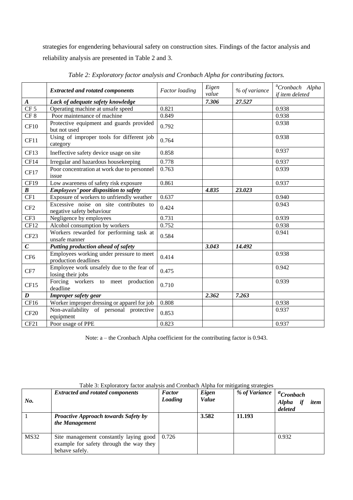strategies for engendering behavioural safety on construction sites. Findings of the factor analysis and reliability analysis are presented in Table 2 and 3.

|                  | <b>Extracted and rotated components</b>                             | <b>Factor</b> loading | Eigen<br>value | % of variance | <sup>a</sup> Cronbach Alpha<br>if item deleted |
|------------------|---------------------------------------------------------------------|-----------------------|----------------|---------------|------------------------------------------------|
| $\boldsymbol{A}$ | Lack of adequate safety knowledge                                   |                       | 7.306          | 27.527        |                                                |
| CF <sub>5</sub>  | Operating machine at unsafe speed                                   | 0.821                 |                |               | 0.938                                          |
| CF <sub>8</sub>  | Poor maintenance of machine                                         | 0.849                 |                |               | 0.938                                          |
| CF10             | Protective equipment and guards provided<br>but not used            | 0.792                 |                |               | 0.938                                          |
| CF11             | Using of improper tools for different job<br>category               | 0.764                 |                |               | 0.938                                          |
| CF13             | Ineffective safety device usage on site                             | 0.858                 |                |               | 0.937                                          |
| CF14             | Irregular and hazardous housekeeping                                | 0.778                 |                |               | 0.937                                          |
| <b>CF17</b>      | Poor concentration at work due to personnel<br>issue                | 0.763                 |                |               | 0.939                                          |
| CF19             | Low awareness of safety risk exposure                               | 0.861                 |                |               | 0.937                                          |
| $\boldsymbol{B}$ | Employees' poor disposition to safety                               |                       | 4.835          | 23.023        |                                                |
| CF1              | Exposure of workers to unfriendly weather                           | 0.637                 |                |               | 0.940                                          |
| CF <sub>2</sub>  | Excessive noise on site contributes to<br>negative safety behaviour | 0.424                 |                |               | 0.943                                          |
| CF3              | Negligence by employees                                             | 0.731                 |                |               | 0.939                                          |
| CF12             | Alcohol consumption by workers                                      | 0.752                 |                |               | 0.938                                          |
| CF <sub>23</sub> | Workers rewarded for performing task at<br>unsafe manner            | 0.584                 |                |               | 0.941                                          |
| $\overline{C}$   | Putting production ahead of safety                                  |                       | 3.043          | 14.492        |                                                |
| CF <sub>6</sub>  | Employees working under pressure to meet<br>production deadlines    | 0.414                 |                |               | 0.938                                          |
| CF7              | Employee work unsafely due to the fear of<br>losing their jobs      | 0.475                 |                |               | 0.942                                          |
| CF15             | Forcing workers to meet production<br>deadline                      | 0.710                 |                |               | 0.939                                          |
| $\boldsymbol{D}$ | Improper safety gear                                                |                       | 2.362          | 7.263         |                                                |
| CF16             | Worker improper dressing or apparel for job                         | 0.808                 |                |               | 0.938                                          |
| CF20             | Non-availability of personal protective<br>equipment                | 0.853                 |                |               | 0.937                                          |
| CF21             | Poor usage of PPE                                                   | 0.823                 |                |               | 0.937                                          |

*Table 2: Exploratory factor analysis and Cronbach Alpha for contributing factors.*

Note: a – the Cronbach Alpha coefficient for the contributing factor is 0.943.

| No.         | <b>Extracted and rotated components</b>                                                             | <b>Factor</b><br>Loading | Eigen<br>Value | % of Variance | ${}^a$ Cronbach<br><b>Alpha</b><br>item<br>deleted |
|-------------|-----------------------------------------------------------------------------------------------------|--------------------------|----------------|---------------|----------------------------------------------------|
|             | <b>Proactive Approach towards Safety by</b><br>the Management                                       |                          | 3.582          | 11.193        |                                                    |
| <b>MS32</b> | Site management constantly laying good<br>example for safety through the way they<br>behave safely. | 0.726                    |                |               | 0.932                                              |

Table 3: Exploratory factor analysis and Cronbach Alpha for mitigating strategies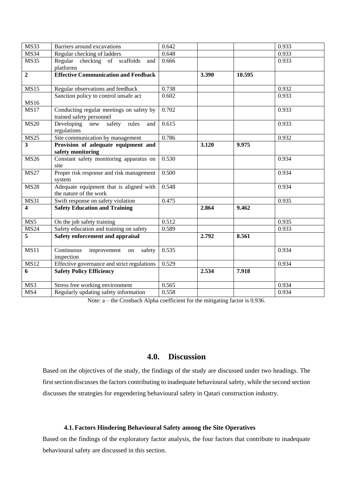| <b>MS33</b>      | Barriers around excavations                                          |       |       |        | 0.933 |
|------------------|----------------------------------------------------------------------|-------|-------|--------|-------|
| <b>MS34</b>      | Regular checking of ladders                                          | 0.648 |       |        | 0.933 |
| <b>MS35</b>      | Regular checking of scaffolds<br>and                                 | 0.666 |       |        | 0.933 |
|                  | platforms                                                            |       |       |        |       |
| $\mathbf{2}$     | <b>Effective Communication and Feedback</b>                          |       | 3.390 | 10.595 |       |
|                  |                                                                      |       |       |        |       |
| <b>MS15</b>      | Regular observations and feedback                                    | 0.738 |       |        | 0.932 |
|                  | Sanction policy to control unsafe act                                | 0.602 |       |        | 0.933 |
| <b>MS16</b>      |                                                                      |       |       |        |       |
| <b>MS17</b>      | Conducting regular meetings on safety by<br>trained safety personnel | 0.702 |       |        | 0.933 |
| <b>MS20</b>      | Developing new safety rules<br>and<br>regulations                    | 0.615 |       |        | 0.933 |
| <b>MS25</b>      | Site communication by management                                     | 0.786 |       |        | 0.932 |
| $\overline{3}$   | Provision of adequate equipment and                                  |       | 3.120 | 9.975  |       |
|                  | safety monitoring                                                    |       |       |        |       |
| <b>MS26</b>      | Constant safety monitoring apparatus on<br>site                      | 0.530 |       |        | 0.934 |
| <b>MS27</b>      | Proper risk response and risk management                             | 0.500 |       |        | 0.934 |
|                  | system                                                               |       |       |        |       |
| <b>MS28</b>      | Adequate equipment that is aligned with<br>the nature of the work    | 0.548 |       |        | 0.934 |
| <b>MS31</b>      | Swift response on safety violation                                   | 0.475 |       |        | 0.935 |
| 4                | <b>Safety Education and Training</b>                                 |       | 2.864 | 9.462  |       |
| $\overline{MS5}$ | $\overline{\text{On}}$ the job safety training                       | 0.512 |       |        | 0.935 |
| <b>MS24</b>      | Safety education and training on safety                              | 0.589 |       |        | 0.933 |
| $\overline{5}$   | Safety enforcement and appraisal                                     |       | 2.792 | 8.561  |       |
| <b>MS11</b>      | Continuous<br>improvement<br>safety<br>on<br>inspection              | 0.535 |       |        | 0.934 |
| <b>MS12</b>      | Effective governance and strict regulations                          | 0.529 |       |        | 0.934 |
| 6                | <b>Safety Policy Efficiency</b>                                      |       | 2.534 | 7.918  |       |
| MS3              | Stress free working environment                                      | 0.565 |       |        | 0.934 |
| MS4              | Regularly updating safety information                                | 0.558 |       |        | 0.934 |

Note: a – the Cronbach Alpha coefficient for the mitigating factor is 0.936.

# **4.0. Discussion**

Based on the objectives of the study, the findings of the study are discussed under two headings. The first section discusses the factors contributing to inadequate behavioural safety, while the second section discusses the strategies for engendering behavioural safety in Qatari construction industry.

# **4.1.Factors Hindering Behavioural Safety among the Site Operatives**

Based on the findings of the exploratory factor analysis, the four factors that contribute to inadequate behavioural safety are discussed in this section.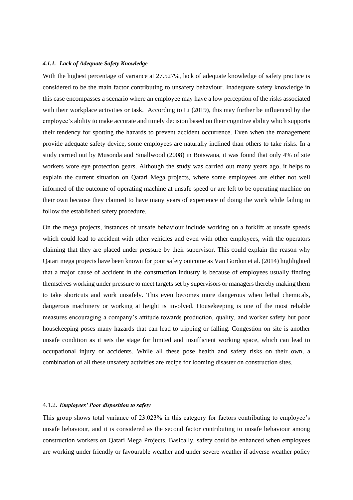## *4.1.1. Lack of Adequate Safety Knowledge*

With the highest percentage of variance at 27.527%, lack of adequate knowledge of safety practice is considered to be the main factor contributing to unsafety behaviour. Inadequate safety knowledge in this case encompasses a scenario where an employee may have a low perception of the risks associated with their workplace activities or task. According to Li (2019), this may further be influenced by the employee's ability to make accurate and timely decision based on their cognitive ability which supports their tendency for spotting the hazards to prevent accident occurrence. Even when the management provide adequate safety device, some employees are naturally inclined than others to take risks. In a study carried out by Musonda and Smallwood (2008) in Botswana, it was found that only 4% of site workers wore eye protection gears. Although the study was carried out many years ago, it helps to explain the current situation on Qatari Mega projects, where some employees are either not well informed of the outcome of operating machine at unsafe speed or are left to be operating machine on their own because they claimed to have many years of experience of doing the work while failing to follow the established safety procedure.

On the mega projects, instances of unsafe behaviour include working on a forklift at unsafe speeds which could lead to accident with other vehicles and even with other employees, with the operators claiming that they are placed under pressure by their supervisor. This could explain the reason why Qatari mega projects have been known for poor safety outcome as Van Gordon et al. (2014) highlighted that a major cause of accident in the construction industry is because of employees usually finding themselves working under pressure to meet targets set by supervisors or managers thereby making them to take shortcuts and work unsafely. This even becomes more dangerous when lethal chemicals, dangerous machinery or working at height is involved. Housekeeping is one of the most reliable measures encouraging a company's attitude towards production, quality, and worker safety but poor housekeeping poses many hazards that can lead to tripping or falling. Congestion on site is another unsafe condition as it sets the stage for limited and insufficient working space, which can lead to occupational injury or accidents. While all these pose health and safety risks on their own, a combination of all these unsafety activities are recipe for looming disaster on construction sites.

## 4.1.2. *Employees' Poor disposition to safety*

This group shows total variance of 23.023% in this category for factors contributing to employee's unsafe behaviour, and it is considered as the second factor contributing to unsafe behaviour among construction workers on Qatari Mega Projects. Basically, safety could be enhanced when employees are working under friendly or favourable weather and under severe weather if adverse weather policy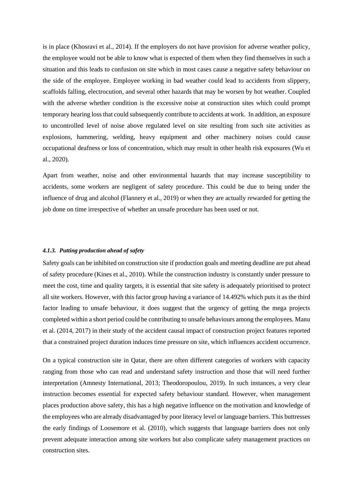is in place (Khosravi et al., 2014). If the employers do not have provision for adverse weather policy, the employee would not be able to know what is expected of them when they find themselves in such a situation and this leads to confusion on site which in most cases cause a negative safety behaviour on the side of the employee. Employee working in bad weather could lead to accidents from slippery, scaffolds falling, electrocution, and several other hazards that may be worsen by hot weather. Coupled with the adverse whether condition is the excessive noise at construction sites which could prompt temporary hearing loss that could subsequently contribute to accidents at work. In addition, an exposure to uncontrolled level of noise above regulated level on site resulting from such site activities as explosions, hammering, welding, heavy equipment and other machinery noises could cause occupational deafness or loss of concentration, which may result in other health risk exposures (Wu et al., 2020).

Apart from weather, noise and other environmental hazards that may increase susceptibility to accidents, some workers are negligent of safety procedure. This could be due to being under the influence of drug and alcohol (Flannery et al., 2019) or when they are actually rewarded for getting the job done on time irrespective of whether an unsafe procedure has been used or not.

## *4.1.3. Putting production ahead of safety*

Safety goals can be inhibited on construction site if production goals and meeting deadline are put ahead of safety procedure (Kines et al., 2010). While the construction industry is constantly under pressure to meet the cost, time and quality targets, it is essential that site safety is adequately prioritised to protect all site workers. However, with this factor group having a variance of 14.492% which puts it as the third factor leading to unsafe behaviour, it does suggest that the urgency of getting the mega projects completed within a short period could be contributing to unsafe behaviours among the employees. Manu et al. (2014, 2017) in their study of the accident causal impact of construction project features reported that a constrained project duration induces time pressure on site, which influences accident occurrence.

On a typical construction site in Qatar, there are often different categories of workers with capacity ranging from those who can read and understand safety instruction and those that will need further interpretation (Amnesty International, 2013; Theodoropoulou, 2019). In such instances, a very clear instruction becomes essential for expected safety behaviour standard. However, when management places production above safety, this has a high negative influence on the motivation and knowledge of the employees who are already disadvantaged by poor literacy level or language barriers. This buttresses the early findings of Loosemore et al. (2010), which suggests that language barriers does not only prevent adequate interaction among site workers but also complicate safety management practices on construction sites.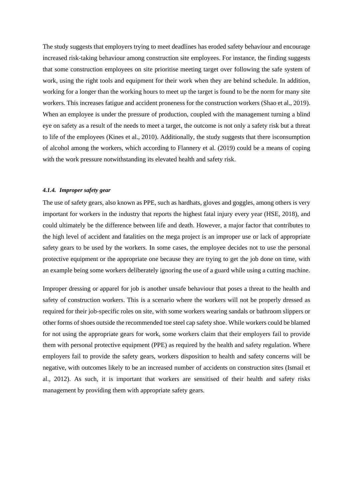The study suggests that employers trying to meet deadlines has eroded safety behaviour and encourage increased risk-taking behaviour among construction site employees. For instance, the finding suggests that some construction employees on site prioritise meeting target over following the safe system of work, using the right tools and equipment for their work when they are behind schedule. In addition, working for a longer than the working hours to meet up the target is found to be the norm for many site workers. This increases fatigue and accident proneness for the construction workers (Shao et al., 2019). When an employee is under the pressure of production, coupled with the management turning a blind eye on safety as a result of the needs to meet a target, the outcome is not only a safety risk but a threat to life of the employees (Kines et al., 2010). Additionally, the study suggests that there isconsumption of alcohol among the workers, which according to Flannery et al. (2019) could be a means of coping with the work pressure notwithstanding its elevated health and safety risk.

#### *4.1.4. Improper safety gear*

The use of safety gears, also known as PPE, such as hardhats, gloves and goggles, among others is very important for workers in the industry that reports the highest fatal injury every year (HSE, 2018), and could ultimately be the difference between life and death. However, a major factor that contributes to the high level of accident and fatalities on the mega project is an improper use or lack of appropriate safety gears to be used by the workers. In some cases, the employee decides not to use the personal protective equipment or the appropriate one because they are trying to get the job done on time, with an example being some workers deliberately ignoring the use of a guard while using a cutting machine.

Improper dressing or apparel for job is another unsafe behaviour that poses a threat to the health and safety of construction workers. This is a scenario where the workers will not be properly dressed as required for their job-specific roles on site, with some workers wearing sandals or bathroom slippers or other forms of shoes outside the recommended toe steel cap safety shoe. While workers could be blamed for not using the appropriate gears for work, some workers claim that their employers fail to provide them with personal protective equipment (PPE) as required by the health and safety regulation. Where employers fail to provide the safety gears, workers disposition to health and safety concerns will be negative, with outcomes likely to be an increased number of accidents on construction sites (Ismail et al., 2012). As such, it is important that workers are sensitised of their health and safety risks management by providing them with appropriate safety gears.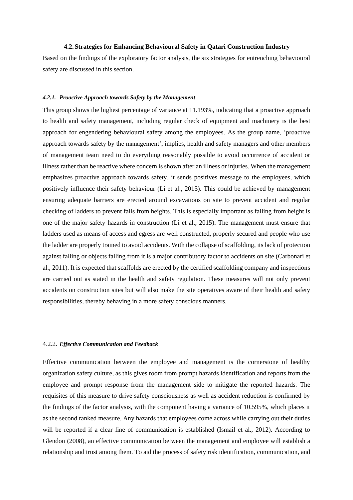#### **4.2.Strategies for Enhancing Behavioural Safety in Qatari Construction Industry**

Based on the findings of the exploratory factor analysis, the six strategies for entrenching behavioural safety are discussed in this section.

## *4.2.1. Proactive Approach towards Safety by the Management*

This group shows the highest percentage of variance at 11.193%, indicating that a proactive approach to health and safety management, including regular check of equipment and machinery is the best approach for engendering behavioural safety among the employees. As the group name, 'proactive approach towards safety by the management', implies, health and safety managers and other members of management team need to do everything reasonably possible to avoid occurrence of accident or illness rather than be reactive where concern is shown after an illness or injuries. When the management emphasizes proactive approach towards safety, it sends positives message to the employees, which positively influence their safety behaviour (Li et al., 2015). This could be achieved by management ensuring adequate barriers are erected around excavations on site to prevent accident and regular checking of ladders to prevent falls from heights. This is especially important as falling from height is one of the major safety hazards in construction (Li et al., 2015). The management must ensure that ladders used as means of access and egress are well constructed, properly secured and people who use the ladder are properly trained to avoid accidents. With the collapse of scaffolding, its lack of protection against falling or objects falling from it is a major contributory factor to accidents on site (Carbonari et al., 2011). It is expected that scaffolds are erected by the certified scaffolding company and inspections are carried out as stated in the health and safety regulation. These measures will not only prevent accidents on construction sites but will also make the site operatives aware of their health and safety responsibilities, thereby behaving in a more safety conscious manners.

#### 4.2.2. *Effective Communication and Feedback*

Effective communication between the employee and management is the cornerstone of healthy organization safety culture, as this gives room from prompt hazards identification and reports from the employee and prompt response from the management side to mitigate the reported hazards. The requisites of this measure to drive safety consciousness as well as accident reduction is confirmed by the findings of the factor analysis, with the component having a variance of 10.595%, which places it as the second ranked measure. Any hazards that employees come across while carrying out their duties will be reported if a clear line of communication is established (Ismail et al., 2012). According to Glendon (2008), an effective communication between the management and employee will establish a relationship and trust among them. To aid the process of safety risk identification, communication, and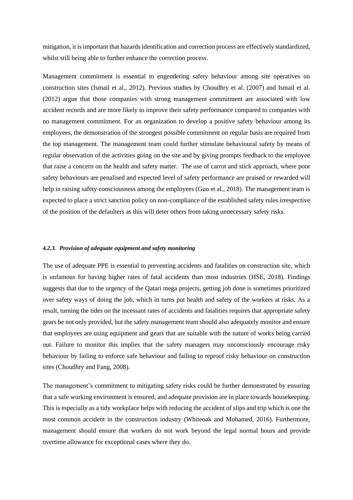mitigation, it is important that hazards identification and correction process are effectively standardized, whilst still being able to further enhance the correction process.

Management commitment is essential to engendering safety behaviour among site operatives on construction sites (Ismail et al., 2012). Previous studies by Choudhry et al. (2007) and Ismail et al. (2012) argue that those companies with strong management commitment are associated with low accident records and are more likely to improve their safety performance compared to companies with no management commitment. For an organization to develop a positive safety behaviour among its employees, the demonstration of the strongest possible commitment on regular basis are required from the top management. The management team could further stimulate behavioural safety by means of regular observation of the activities going on the site and by giving prompts feedback to the employee that raise a concern on the health and safety matter. The use of carrot and stick approach, where poor safety behaviours are penalised and expected level of safety performance are praised or rewarded will help in raising safety consciousness among the employees (Guo et al., 2018). The management team is expected to place a strict sanction policy on non-compliance of the established safety rules irrespective of the position of the defaulters as this will deter others from taking unnecessary safety risks.

#### *4.2.3. Provision of adequate equipment and safety monitoring*

The use of adequate PPE is essential to preventing accidents and fatalities on construction site, which is unfamous for having higher rates of fatal accidents than most industries (HSE, 2018). Findings suggests that due to the urgency of the Qatari mega projects, getting job done is sometimes prioritized over safety ways of doing the job, which in turns put health and safety of the workers at risks. As a result, turning the tides on the incessant rates of accidents and fatalities requires that appropriate safety gears be not only provided, but the safety management team should also adequately monitor and ensure that employees are using equipment and gears that are suitable with the nature of works being carried out. Failure to monitor this implies that the safety managers may unconsciously encourage risky behaviour by failing to enforce safe behaviour and failing to reproof risky behaviour on construction sites (Choudhry and Fang, 2008).

The management's commitment to mitigating safety risks could be further demonstrated by ensuring that a safe working environment is ensured, and adequate provision are in place towards housekeeping. This is especially as a tidy workplace helps with reducing the accident of slips and trip which is one the most common accident in the construction industry (Whiteoak and Mohamed, 2016). Furthermore, management should ensure that workers do not work beyond the legal normal hours and provide overtime allowance for exceptional cases where they do.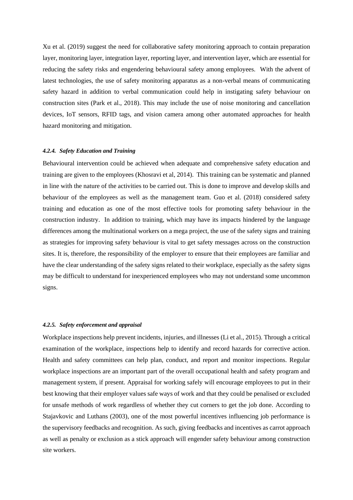Xu et al. (2019) suggest the need for collaborative safety monitoring approach to contain preparation layer, monitoring layer, integration layer, reporting layer, and intervention layer, which are essential for reducing the safety risks and engendering behavioural safety among employees. With the advent of latest technologies, the use of safety monitoring apparatus as a non-verbal means of communicating safety hazard in addition to verbal communication could help in instigating safety behaviour on construction sites (Park et al., 2018). This may include the use of noise monitoring and cancellation devices, IoT sensors, RFID tags, and vision camera among other automated approaches for health hazard monitoring and mitigation.

#### *4.2.4. Safety Education and Training*

Behavioural intervention could be achieved when adequate and comprehensive safety education and training are given to the employees (Khosravi et al, 2014). This training can be systematic and planned in line with the nature of the activities to be carried out. This is done to improve and develop skills and behaviour of the employees as well as the management team. Guo et al. (2018) considered safety training and education as one of the most effective tools for promoting safety behaviour in the construction industry. In addition to training, which may have its impacts hindered by the language differences among the multinational workers on a mega project, the use of the safety signs and training as strategies for improving safety behaviour is vital to get safety messages across on the construction sites. It is, therefore, the responsibility of the employer to ensure that their employees are familiar and have the clear understanding of the safety signs related to their workplace, especially as the safety signs may be difficult to understand for inexperienced employees who may not understand some uncommon signs.

#### *4.2.5. Safety enforcement and appraisal*

Workplace inspections help prevent incidents, injuries, and illnesses (Li et al., 2015). Through a critical examination of the workplace, inspections help to identify and record hazards for corrective action. Health and safety committees can help plan, conduct, and report and monitor inspections. Regular workplace inspections are an important part of the overall occupational health and safety program and management system, if present. Appraisal for working safely will encourage employees to put in their best knowing that their employer values safe ways of work and that they could be penalised or excluded for unsafe methods of work regardless of whether they cut corners to get the job done. According to Stajavkovic and Luthans (2003), one of the most powerful incentives influencing job performance is the supervisory feedbacks and recognition. As such, giving feedbacks and incentives as carrot approach as well as penalty or exclusion as a stick approach will engender safety behaviour among construction site workers.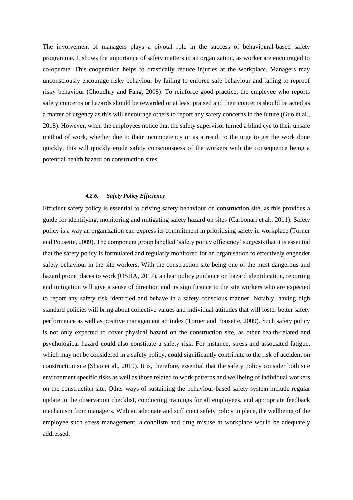The involvement of managers plays a pivotal role in the success of behavioural-based safety programme. It shows the importance of safety matters in an organization, as worker are encouraged to co-operate. This cooperation helps to drastically reduce injuries at the workplace. Managers may unconsciously encourage risky behaviour by failing to enforce safe behaviour and failing to reproof risky behaviour (Choudhry and Fang, 2008). To reinforce good practice, the employee who reports safety concerns or hazards should be rewarded or at least praised and their concerns should be acted as a matter of urgency as this will encourage others to report any safety concerns in the future (Guo et al., 2018). However, when the employees notice that the safety supervisor turned a blind eye to their unsafe method of work, whether due to their incompetency or as a result to the urge to get the work done quickly, this will quickly erode safety consciousness of the workers with the consequence being a potential health hazard on construction sites.

## *4.2.6. Safety Policy Efficiency*

Efficient safety policy is essential to driving safety behaviour on construction site, as this provides a guide for identifying, monitoring and mitigating safety hazard on sites (Carbonari et al., 2011). Safety policy is a way an organization can express its commitment in prioritising safety in workplace (Torner and Pousette, 2009). The component group labelled 'safety policy efficiency' suggests that it is essential that the safety policy is formulated and regularly monitored for an organisation to effectively engender safety behaviour in the site workers. With the construction site being one of the most dangerous and hazard prone places to work (OSHA, 2017), a clear policy guidance on hazard identification, reporting and mitigation will give a sense of direction and its significance to the site workers who are expected to report any safety risk identified and behave in a safety conscious manner. Notably, having high standard policies will bring about collective values and individual attitudes that will foster better safety performance as well as positive management attitudes (Torner and Pousette, 2009). Such safety policy is not only expected to cover physical hazard on the construction site, as other health-related and psychological hazard could also constitute a safety risk. For instance, stress and associated fatigue, which may not be considered in a safety policy, could significantly contribute to the risk of accident on construction site (Shao et al., 2019). It is, therefore, essential that the safety policy consider both site environment specific risks as well as those related to work patterns and wellbeing of individual workers on the construction site. Other ways of sustaining the behaviour-based safety system include regular update to the observation checklist, conducting trainings for all employees, and appropriate feedback mechanism from managers. With an adequate and sufficient safety policy in place, the wellbeing of the employee such stress management, alcoholism and drug misuse at workplace would be adequately addressed.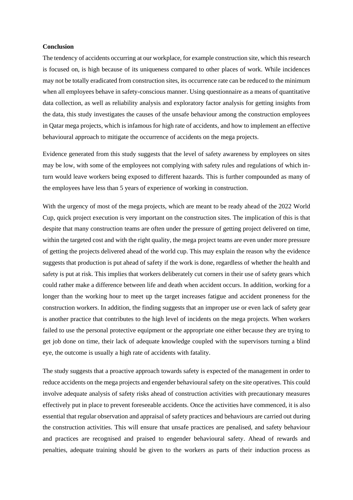# **Conclusion**

The tendency of accidents occurring at our workplace, for example construction site, which this research is focused on, is high because of its uniqueness compared to other places of work. While incidences may not be totally eradicated from construction sites, its occurrence rate can be reduced to the minimum when all employees behave in safety-conscious manner. Using questionnaire as a means of quantitative data collection, as well as reliability analysis and exploratory factor analysis for getting insights from the data, this study investigates the causes of the unsafe behaviour among the construction employees in Qatar mega projects, which is infamous for high rate of accidents, and how to implement an effective behavioural approach to mitigate the occurrence of accidents on the mega projects.

Evidence generated from this study suggests that the level of safety awareness by employees on sites may be low, with some of the employees not complying with safety rules and regulations of which inturn would leave workers being exposed to different hazards. This is further compounded as many of the employees have less than 5 years of experience of working in construction.

With the urgency of most of the mega projects, which are meant to be ready ahead of the 2022 World Cup, quick project execution is very important on the construction sites. The implication of this is that despite that many construction teams are often under the pressure of getting project delivered on time, within the targeted cost and with the right quality, the mega project teams are even under more pressure of getting the projects delivered ahead of the world cup. This may explain the reason why the evidence suggests that production is put ahead of safety if the work is done, regardless of whether the health and safety is put at risk. This implies that workers deliberately cut corners in their use of safety gears which could rather make a difference between life and death when accident occurs. In addition, working for a longer than the working hour to meet up the target increases fatigue and accident proneness for the construction workers. In addition, the finding suggests that an improper use or even lack of safety gear is another practice that contributes to the high level of incidents on the mega projects. When workers failed to use the personal protective equipment or the appropriate one either because they are trying to get job done on time, their lack of adequate knowledge coupled with the supervisors turning a blind eye, the outcome is usually a high rate of accidents with fatality.

The study suggests that a proactive approach towards safety is expected of the management in order to reduce accidents on the mega projects and engender behavioural safety on the site operatives. This could involve adequate analysis of safety risks ahead of construction activities with precautionary measures effectively put in place to prevent foreseeable accidents. Once the activities have commenced, it is also essential that regular observation and appraisal of safety practices and behaviours are carried out during the construction activities. This will ensure that unsafe practices are penalised, and safety behaviour and practices are recognised and praised to engender behavioural safety. Ahead of rewards and penalties, adequate training should be given to the workers as parts of their induction process as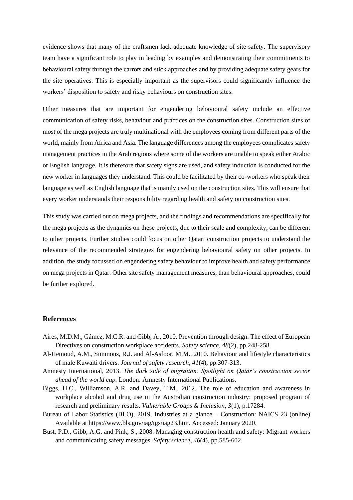evidence shows that many of the craftsmen lack adequate knowledge of site safety. The supervisory team have a significant role to play in leading by examples and demonstrating their commitments to behavioural safety through the carrots and stick approaches and by providing adequate safety gears for the site operatives. This is especially important as the supervisors could significantly influence the workers' disposition to safety and risky behaviours on construction sites.

Other measures that are important for engendering behavioural safety include an effective communication of safety risks, behaviour and practices on the construction sites. Construction sites of most of the mega projects are truly multinational with the employees coming from different parts of the world, mainly from Africa and Asia. The language differences among the employees complicates safety management practices in the Arab regions where some of the workers are unable to speak either Arabic or English language. It is therefore that safety signs are used, and safety induction is conducted for the new worker in languages they understand. This could be facilitated by their co-workers who speak their language as well as English language that is mainly used on the construction sites. This will ensure that every worker understands their responsibility regarding health and safety on construction sites.

This study was carried out on mega projects, and the findings and recommendations are specifically for the mega projects as the dynamics on these projects, due to their scale and complexity, can be different to other projects. Further studies could focus on other Qatari construction projects to understand the relevance of the recommended strategies for engendering behavioural safety on other projects. In addition, the study focussed on engendering safety behaviour to improve health and safety performance on mega projects in Qatar. Other site safety management measures, than behavioural approaches, could be further explored.

## **References**

- Aires, M.D.M., Gámez, M.C.R. and Gibb, A., 2010. Prevention through design: The effect of European Directives on construction workplace accidents. *Safety science*, *48*(2), pp.248-258.
- Al-Hemoud, A.M., Simmons, R.J. and Al-Asfoor, M.M., 2010. Behaviour and lifestyle characteristics of male Kuwaiti drivers. *Journal of safety research*, *41*(4), pp.307-313.
- Amnesty International, 2013. *The dark side of migration: Spotlight on Qatar's construction sector ahead of the world cup.* London: Amnesty International Publications.
- Biggs, H.C., Williamson, A.R. and Davey, T.M., 2012. The role of education and awareness in workplace alcohol and drug use in the Australian construction industry: proposed program of research and preliminary results. *Vulnerable Groups & Inclusion*, *3*(1), p.17284.
- Bureau of Labor Statistics (BLO), 2019. Industries at a glance Construction: NAICS 23 (online) Available at [https://www.bls.gov/iag/tgs/iag23.htm.](https://www.bls.gov/iag/tgs/iag23.htm) Accessed: January 2020.
- Bust, P.D., Gibb, A.G. and Pink, S., 2008. Managing construction health and safety: Migrant workers and communicating safety messages. *Safety science*, *46*(4), pp.585-602.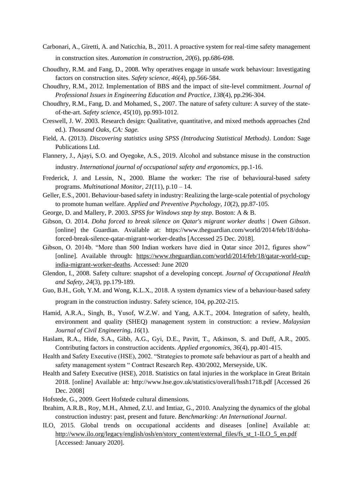- Carbonari, A., Giretti, A. and Naticchia, B., 2011. A proactive system for real-time safety management in construction sites. *Automation in construction*, *20*(6), pp.686-698.
- Choudhry, R.M. and Fang, D., 2008. Why operatives engage in unsafe work behaviour: Investigating factors on construction sites. *Safety science*, *46*(4), pp.566-584.
- Choudhry, R.M., 2012. Implementation of BBS and the impact of site-level commitment. *Journal of Professional Issues in Engineering Education and Practice*, *138*(4), pp.296-304.
- Choudhry, R.M., Fang, D. and Mohamed, S., 2007. The nature of safety culture: A survey of the stateof-the-art. *Safety science*, *45*(10), pp.993-1012.
- Creswell, J. W. 2003*.* Research design: Qualitative, quantitative, and mixed methods approaches (2nd ed.). *Thousand Oaks, CA: Sage.*
- Field, A. (2013). *Discovering statistics using SPSS (Introducing Statistical Methods)*. London: Sage Publications Ltd.
- Flannery, J., Ajayi, S.O. and Oyegoke, A.S., 2019. Alcohol and substance misuse in the construction industry. *International journal of occupational safety and ergonomics*, pp.1-16.
- Frederick, J. and Lessin, N., 2000. Blame the worker: The rise of behavioural-based safety programs. *Multinational Monitor*, *21*(11), p.10 – 14.
- Geller, E.S., 2001. Behaviour-based safety in industry: Realizing the large-scale potential of psychology to promote human welfare. *Applied and Preventive Psychology*, *10*(2), pp.87-105.
- George, D. and Mallery, P. 2003. *SPSS for Windows step by step*. Boston: A & B.
- Gibson, O. 2014. *Doha forced to break silence on Qatar's migrant worker deaths | Owen Gibson*. [online] the Guardian. Available at: https://www.theguardian.com/world/2014/feb/18/dohaforced-break-silence-qatar-migrant-worker-deaths [Accessed 25 Dec. 2018].
- Gibson, O. 2014b. "More than 500 Indian workers have died in Qatar since 2012, figures show" [online]. Available through: [https://www.theguardian.com/world/2014/feb/18/qatar-world-cup](https://www.theguardian.com/world/2014/feb/18/qatar-world-cup-india-migrant-worker-deaths)[india-migrant-worker-deaths.](https://www.theguardian.com/world/2014/feb/18/qatar-world-cup-india-migrant-worker-deaths) Accessed: June 2020
- Glendon, I., 2008. Safety culture: snapshot of a developing concept. *Journal of Occupational Health and Safety*, *24*(3), pp.179-189.

Guo, B.H., Goh, Y.M. and Wong, K.L.X., 2018. A system dynamics view of a behaviour-based safety program in the construction industry. Safety science, 104, pp.202-215.

- Hamid, A.R.A., Singh, B., Yusof, W.Z.W. and Yang, A.K.T., 2004. Integration of safety, health, environment and quality (SHEQ) management system in construction: a review. *Malaysian Journal of Civil Engineering*, *16*(1).
- Haslam, R.A., Hide, S.A., Gibb, A.G., Gyi, D.E., Pavitt, T., Atkinson, S. and Duff, A.R., 2005. Contributing factors in construction accidents. *Applied ergonomics*, *36*(4), pp.401-415.
- Health and Safety Executive (HSE), 2002. "Strategies to promote safe behaviour as part of a health and safety management system " Contract Research Rep. 430/2002, Merseyside, UK.
- Health and Safety Executive (HSE), 2018. Statistics on fatal injuries in the workplace in Great Britain 2018. [online] Available at: http://www.hse.gov.uk/statistics/overall/hssh1718.pdf [Accessed 26 Dec. 2008]
- Hofstede, G., 2009. Geert Hofstede cultural dimensions.
- Ibrahim, A.R.B., Roy, M.H., Ahmed, Z.U. and Imtiaz, G., 2010. Analyzing the dynamics of the global construction industry: past, present and future. *Benchmarking: An International Journal*.
- ILO, 2015. Global trends on occupational accidents and diseases [online] Available at: [http://www.ilo.org/legacy/english/osh/en/story\\_content/external\\_files/fs\\_st\\_1-ILO\\_5\\_en.pdf](http://www.ilo.org/legacy/english/osh/en/story_content/external_files/fs_st_1-ILO_5_en.pdf) [Accessed: January 2020].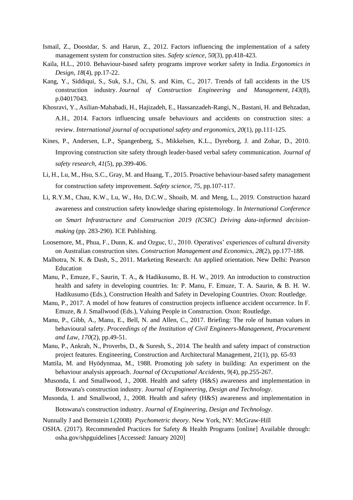- Ismail, Z., Doostdar, S. and Harun, Z., 2012. Factors influencing the implementation of a safety management system for construction sites. *Safety science*, *50*(3), pp.418-423.
- Kaila, H.L., 2010. Behaviour-based safety programs improve worker safety in India. *Ergonomics in Design*, *18*(4), pp.17-22.
- Kang, Y., Siddiqui, S., Suk, S.J., Chi, S. and Kim, C., 2017. Trends of fall accidents in the US construction industry. *Journal of Construction Engineering and Management*, *143*(8), p.04017043.
- Khosravi, Y., Asilian-Mahabadi, H., Hajizadeh, E., Hassanzadeh-Rangi, N., Bastani, H. and Behzadan, A.H., 2014. Factors influencing unsafe behaviours and accidents on construction sites: a review. *International journal of occupational safety and ergonomics*, *20*(1), pp.111-125.
- Kines, P., Andersen, L.P., Spangenberg, S., Mikkelsen, K.L., Dyreborg, J. and Zohar, D., 2010. Improving construction site safety through leader-based verbal safety communication. *Journal of safety research*, *41*(5), pp.399-406.
- Li, H., Lu, M., Hsu, S.C., Gray, M. and Huang, T., 2015. Proactive behaviour-based safety management for construction safety improvement. *Safety science*, *75*, pp.107-117.
- Li, R.Y.M., Chau, K.W., Lu, W., Ho, D.C.W., Shoaib, M. and Meng, L., 2019. Construction hazard awareness and construction safety knowledge sharing epistemology. In *International Conference on Smart Infrastructure and Construction 2019 (ICSIC) Driving data-informed decisionmaking* (pp. 283-290). ICE Publishing.
- Loosemore, M., Phua, F., Dunn, K. and Ozguc, U., 2010. Operatives' experiences of cultural diversity on Australian construction sites. *Construction Management and Economics*, *28*(2), pp.177-188.
- Malhotra, N. K. & Dash, S., 2011. Marketing Research: An applied orientation. New Delhi: Pearson Education
- Manu, P., Emuze, F., Saurin, T. A., & Hadikusumo, B. H. W., 2019. An introduction to construction health and safety in developing countries. In: P. Manu, F. Emuze, T. A. Saurin, & B. H. W. Hadikusumo (Eds.), Construction Health and Safety in Developing Countries. Oxon: Routledge.
- Manu, P., 2017. A model of how features of construction projects influence accident occurrence. In F. Emuze, & J. Smallwood (Eds.), Valuing People in Construction. Oxon: Routledge.
- Manu, P., Gibb, A., Manu, E., Bell, N. and Allen, C., 2017. Briefing: The role of human values in behavioural safety. *Proceedings of the Institution of Civil Engineers-Management, Procurement and Law*, *170*(2), pp.49-51.
- Manu, P., Ankrah, N., Proverbs, D., & Suresh, S., 2014. The health and safety impact of construction project features. Engineering, Construction and Architectural Management, 21(1), pp. 65-93
- Mattila, M. and Hyödynmaa, M., 1988. Promoting job safety in building: An experiment on the behaviour analysis approach. *Journal of Occupational Accidents*, *9*(4), pp.255-267.
- Musonda, I. and Smallwood, J., 2008. Health and safety (H&S) awareness and implementation in Botswana's construction industry. *Journal of Engineering, Design and Technology*.
- Musonda, I. and Smallwood, J., 2008. Health and safety (H&S) awareness and implementation in Botswana's construction industry. *Journal of Engineering, Design and Technology*.
- Nunnally J and Bernstein I.(2008) *Psychometric theory*. New York, NY: McGraw-Hill
- OSHA. (2017). Recommended Practices for Safety & Health Programs [online] Available through: osha.gov/shpguidelines [Accessed: January 2020]